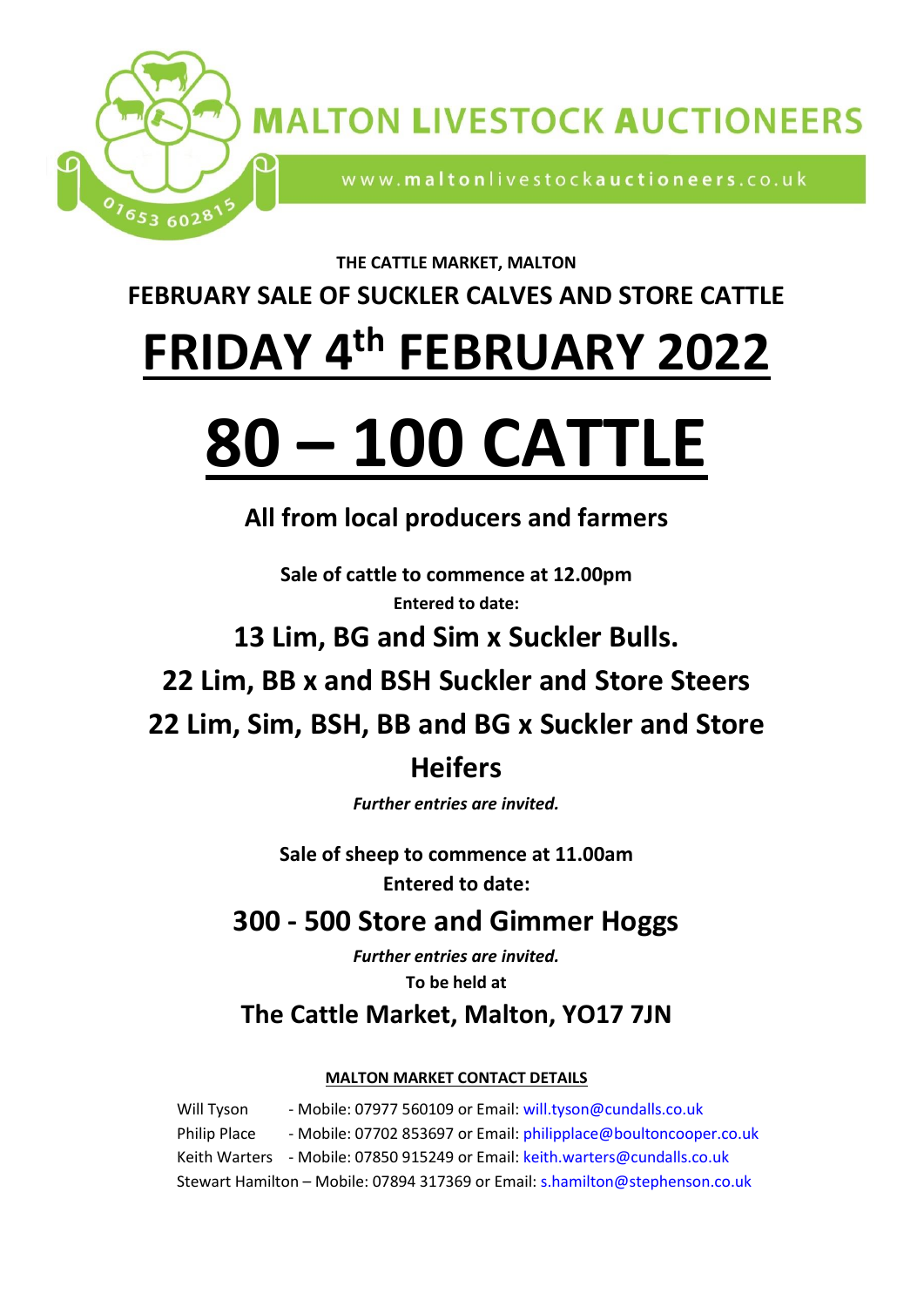

**MALTON LIVESTOCK AUCTIONEERS** 

www.maltonlivestockauctioneers.co.uk

#### **THE CATTLE MARKET, MALTON**

**FEBRUARY SALE OF SUCKLER CALVES AND STORE CATTLE**

# **FRIDAY 4 th FEBRUARY 2022**

# **80 – 100 CATTLE**

# **All from local producers and farmers**

**Sale of cattle to commence at 12.00pm Entered to date:**

**13 Lim, BG and Sim x Suckler Bulls.**

**22 Lim, BB x and BSH Suckler and Store Steers** 

**22 Lim, Sim, BSH, BB and BG x Suckler and Store**

## **Heifers**

*Further entries are invited.*

**Sale of sheep to commence at 11.00am Entered to date:**

# **300 - 500 Store and Gimmer Hoggs**

*Further entries are invited.* **To be held at** 

## **The Cattle Market, Malton, YO17 7JN**

#### **MALTON MARKET CONTACT DETAILS**

Will Tyson - Mobile: 07977 560109 or Email: [will.tyson@cundalls.co.uk](mailto:will.tyson@cundalls.co.uk) Philip Place - Mobile: 07702 853697 or Email: [philipplace@boultoncooper.co.uk](mailto:philipplace@boultoncooper.co.uk) Keith Warters - Mobile: 07850 915249 or Email: [keith.warters@cundalls.co.uk](mailto:keith.warters@cundalls.co.uk) Stewart Hamilton – Mobile: 07894 317369 or Email: [s.hamilton@stephenson.co.uk](mailto:s.hamilton@stephenson.co.uk)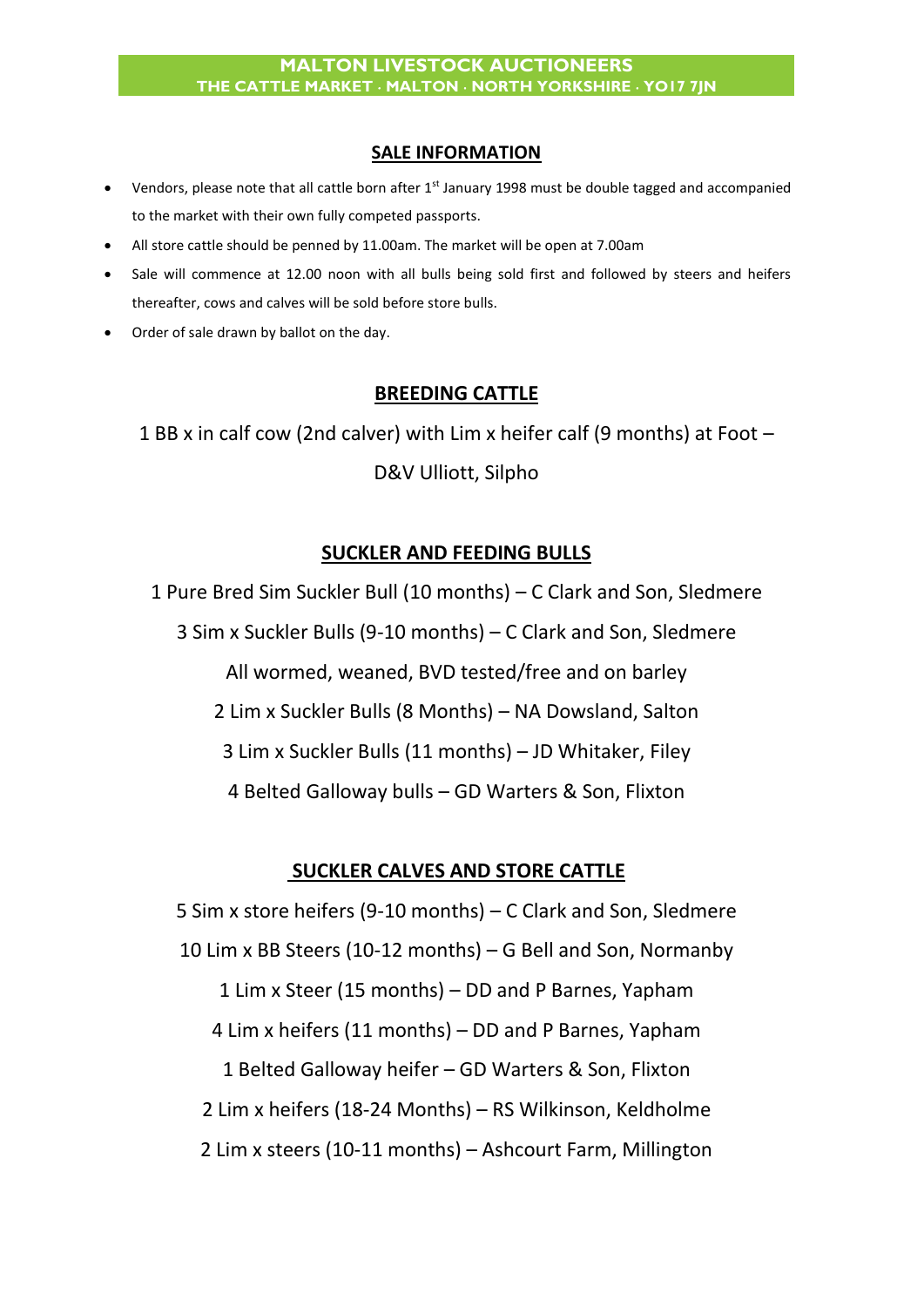#### **SALE INFORMATION**

- Vendors, please note that all cattle born after 1<sup>st</sup> January 1998 must be double tagged and accompanied to the market with their own fully competed passports.
- All store cattle should be penned by 11.00am. The market will be open at 7.00am
- Sale will commence at 12.00 noon with all bulls being sold first and followed by steers and heifers thereafter, cows and calves will be sold before store bulls.
- Order of sale drawn by ballot on the day.

#### **BREEDING CATTLE**

1 BB x in calf cow (2nd calver) with Lim x heifer calf (9 months) at Foot – D&V Ulliott, Silpho

#### **SUCKLER AND FEEDING BULLS**

1 Pure Bred Sim Suckler Bull (10 months) – C Clark and Son, Sledmere 3 Sim x Suckler Bulls (9-10 months) – C Clark and Son, Sledmere All wormed, weaned, BVD tested/free and on barley 2 Lim x Suckler Bulls (8 Months) – NA Dowsland, Salton 3 Lim x Suckler Bulls (11 months) – JD Whitaker, Filey 4 Belted Galloway bulls – GD Warters & Son, Flixton

#### **SUCKLER CALVES AND STORE CATTLE**

5 Sim x store heifers (9-10 months) – C Clark and Son, Sledmere 10 Lim x BB Steers (10-12 months) – G Bell and Son, Normanby 1 Lim x Steer (15 months) – DD and P Barnes, Yapham 4 Lim x heifers (11 months) – DD and P Barnes, Yapham 1 Belted Galloway heifer – GD Warters & Son, Flixton 2 Lim x heifers (18-24 Months) – RS Wilkinson, Keldholme 2 Lim x steers (10-11 months) – Ashcourt Farm, Millington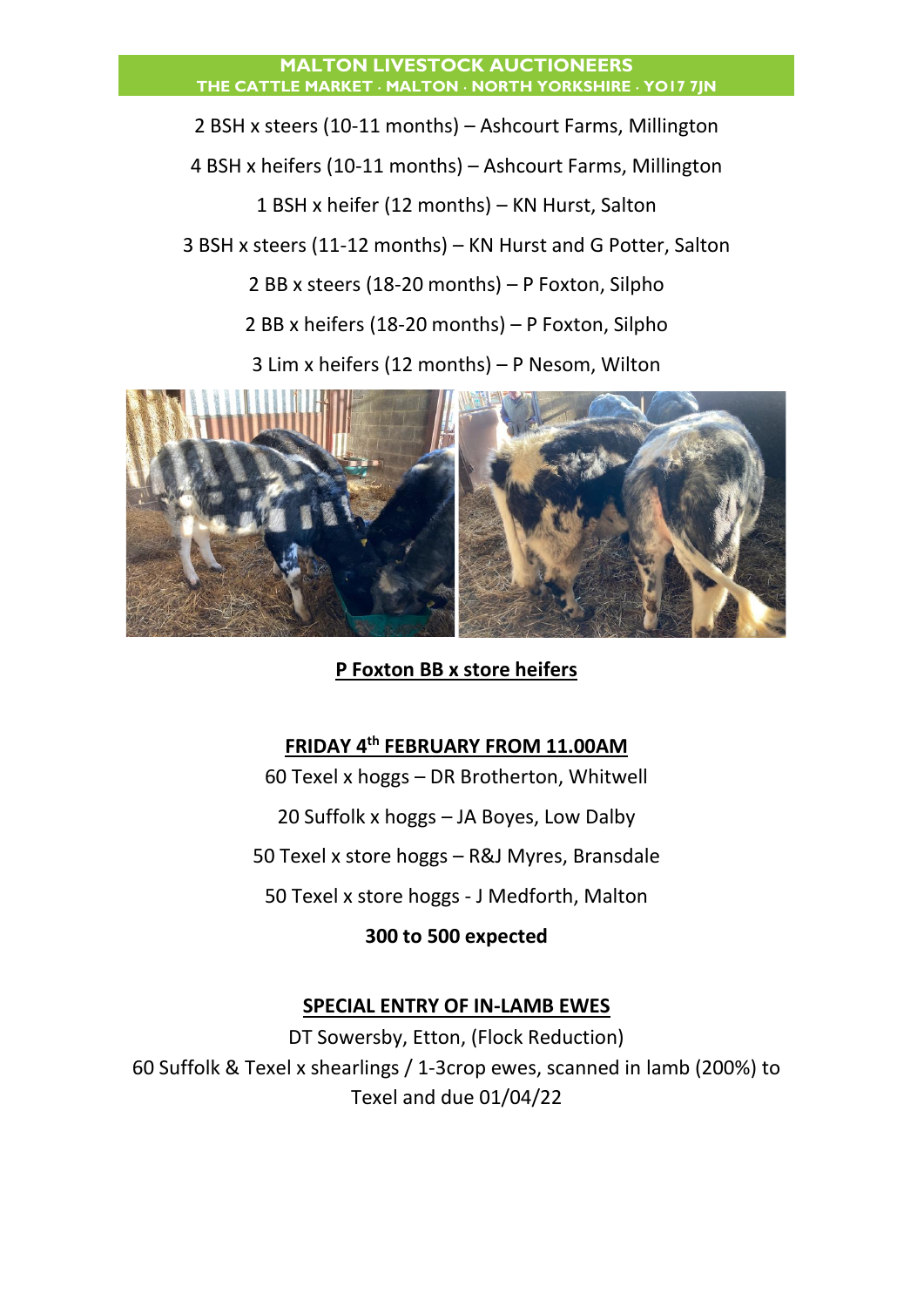#### **MALTON LIVESTOCK AUCTIONEERS THE CATTLE MARKET MALTON NORTH YORKSHIRE YO17 7JN**

2 BSH x steers (10-11 months) – Ashcourt Farms, Millington 4 BSH x heifers (10-11 months) – Ashcourt Farms, Millington 1 BSH x heifer (12 months) – KN Hurst, Salton 3 BSH x steers (11-12 months) – KN Hurst and G Potter, Salton 2 BB x steers (18-20 months) – P Foxton, Silpho 2 BB x heifers (18-20 months) – P Foxton, Silpho 3 Lim x heifers (12 months) – P Nesom, Wilton



**P Foxton BB x store heifers** 

#### **FRIDAY 4th FEBRUARY FROM 11.00AM**

60 Texel x hoggs – DR Brotherton, Whitwell

20 Suffolk x hoggs – JA Boyes, Low Dalby

50 Texel x store hoggs – R&J Myres, Bransdale

50 Texel x store hoggs - J Medforth, Malton

**300 to 500 expected**

#### **SPECIAL ENTRY OF IN-LAMB EWES**

DT Sowersby, Etton, (Flock Reduction) 60 Suffolk & Texel x shearlings / 1-3crop ewes, scanned in lamb (200%) to Texel and due 01/04/22